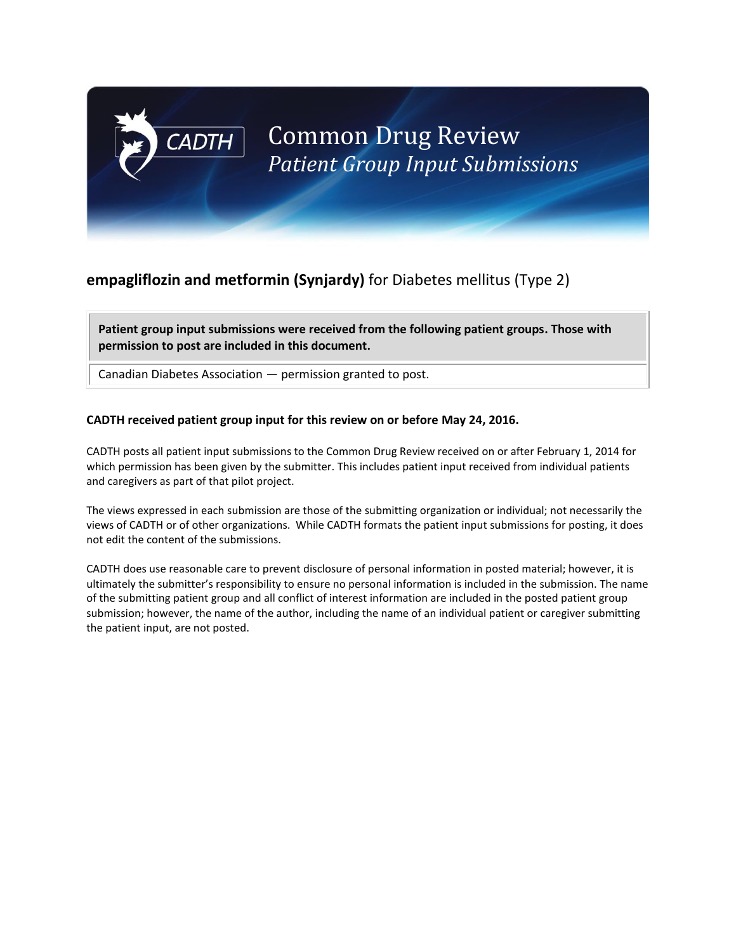## **empagliflozin and metformin (Synjardy)** for Diabetes mellitus (Type 2)

**Patient group input submissions were received from the following patient groups. Those with permission to post are included in this document.**

Canadian Diabetes Association — permission granted to post.

**CADTH** 

#### **CADTH received patient group input for this review on or before May 24, 2016.**

CADTH posts all patient input submissions to the Common Drug Review received on or after February 1, 2014 for which permission has been given by the submitter. This includes patient input received from individual patients and caregivers as part of that pilot project.

The views expressed in each submission are those of the submitting organization or individual; not necessarily the views of CADTH or of other organizations. While CADTH formats the patient input submissions for posting, it does not edit the content of the submissions.

CADTH does use reasonable care to prevent disclosure of personal information in posted material; however, it is ultimately the submitter's responsibility to ensure no personal information is included in the submission. The name of the submitting patient group and all conflict of interest information are included in the posted patient group submission; however, the name of the author, including the name of an individual patient or caregiver submitting the patient input, are not posted.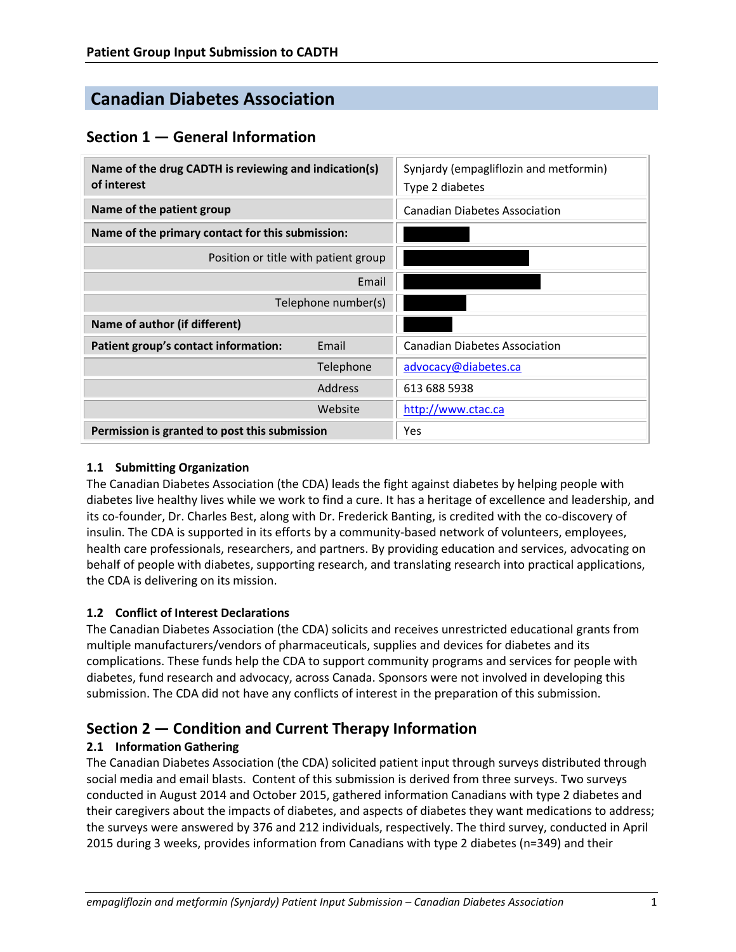# **Canadian Diabetes Association**

## **Section 1 — General Information**

| Name of the drug CADTH is reviewing and indication(s)<br>of interest |           | Synjardy (empagliflozin and metformin)<br>Type 2 diabetes |
|----------------------------------------------------------------------|-----------|-----------------------------------------------------------|
| Name of the patient group                                            |           | Canadian Diabetes Association                             |
| Name of the primary contact for this submission:                     |           |                                                           |
| Position or title with patient group                                 |           |                                                           |
| Email                                                                |           |                                                           |
| Telephone number(s)                                                  |           |                                                           |
| Name of author (if different)                                        |           |                                                           |
| Patient group's contact information:                                 | Email     | <b>Canadian Diabetes Association</b>                      |
|                                                                      | Telephone | advocacy@diabetes.ca                                      |
|                                                                      | Address   | 613 688 5938                                              |
|                                                                      | Website   | http://www.ctac.ca                                        |
| Permission is granted to post this submission                        |           | Yes                                                       |

#### **1.1 Submitting Organization**

The Canadian Diabetes Association (the CDA) leads the fight against diabetes by helping people with diabetes live healthy lives while we work to find a cure. It has a heritage of excellence and leadership, and its co-founder, Dr. Charles Best, along with Dr. Frederick Banting, is credited with the co-discovery of insulin. The CDA is supported in its efforts by a community-based network of volunteers, employees, health care professionals, researchers, and partners. By providing education and services, advocating on behalf of people with diabetes, supporting research, and translating research into practical applications, the CDA is delivering on its mission.

#### **1.2 Conflict of Interest Declarations**

The Canadian Diabetes Association (the CDA) solicits and receives unrestricted educational grants from multiple manufacturers/vendors of pharmaceuticals, supplies and devices for diabetes and its complications. These funds help the CDA to support community programs and services for people with diabetes, fund research and advocacy, across Canada. Sponsors were not involved in developing this submission. The CDA did not have any conflicts of interest in the preparation of this submission.

## **Section 2 — Condition and Current Therapy Information**

## **2.1 Information Gathering**

The Canadian Diabetes Association (the CDA) solicited patient input through surveys distributed through social media and email blasts. Content of this submission is derived from three surveys. Two surveys conducted in August 2014 and October 2015, gathered information Canadians with type 2 diabetes and their caregivers about the impacts of diabetes, and aspects of diabetes they want medications to address; the surveys were answered by 376 and 212 individuals, respectively. The third survey, conducted in April 2015 during 3 weeks, provides information from Canadians with type 2 diabetes (n=349) and their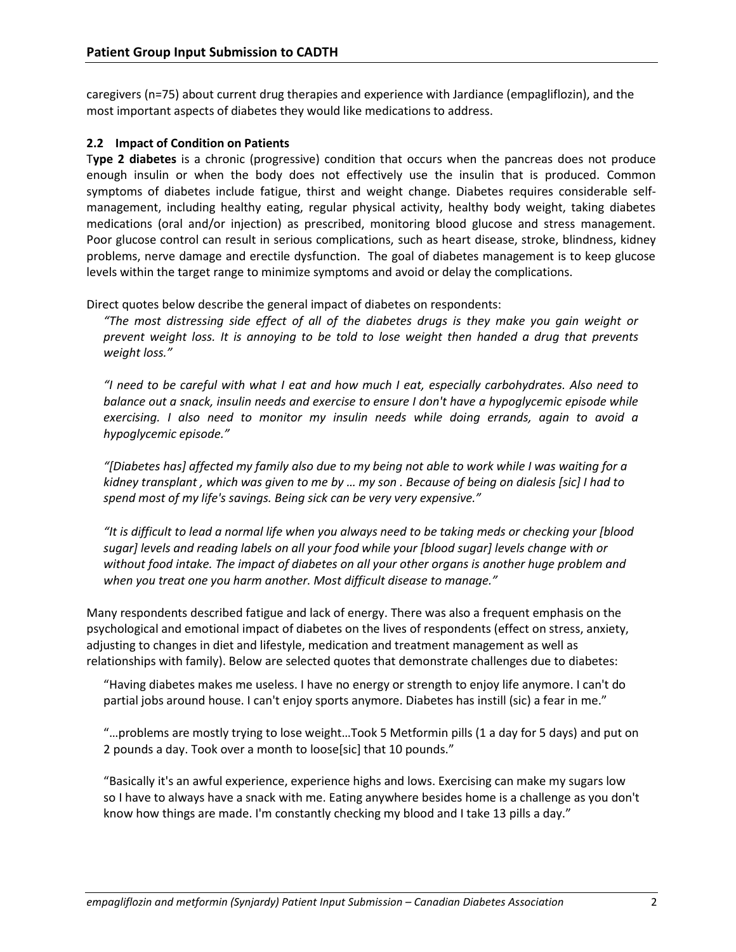caregivers (n=75) about current drug therapies and experience with Jardiance (empagliflozin), and the most important aspects of diabetes they would like medications to address.

#### **2.2 Impact of Condition on Patients**

T**ype 2 diabetes** is a chronic (progressive) condition that occurs when the pancreas does not produce enough insulin or when the body does not effectively use the insulin that is produced. Common symptoms of diabetes include fatigue, thirst and weight change. Diabetes requires considerable selfmanagement, including healthy eating, regular physical activity, healthy body weight, taking diabetes medications (oral and/or injection) as prescribed, monitoring blood glucose and stress management. Poor glucose control can result in serious complications, such as heart disease, stroke, blindness, kidney problems, nerve damage and erectile dysfunction. The goal of diabetes management is to keep glucose levels within the target range to minimize symptoms and avoid or delay the complications.

Direct quotes below describe the general impact of diabetes on respondents:

*"The most distressing side effect of all of the diabetes drugs is they make you gain weight or prevent weight loss. It is annoying to be told to lose weight then handed a drug that prevents weight loss."*

*"I need to be careful with what I eat and how much I eat, especially carbohydrates. Also need to balance out a snack, insulin needs and exercise to ensure I don't have a hypoglycemic episode while exercising. I also need to monitor my insulin needs while doing errands, again to avoid a hypoglycemic episode."*

*"[Diabetes has] affected my family also due to my being not able to work while I was waiting for a kidney transplant , which was given to me by … my son . Because of being on dialesis [sic] I had to spend most of my life's savings. Being sick can be very very expensive."* 

*"It is difficult to lead a normal life when you always need to be taking meds or checking your [blood sugar] levels and reading labels on all your food while your [blood sugar] levels change with or without food intake. The impact of diabetes on all your other organs is another huge problem and when you treat one you harm another. Most difficult disease to manage."* 

Many respondents described fatigue and lack of energy. There was also a frequent emphasis on the psychological and emotional impact of diabetes on the lives of respondents (effect on stress, anxiety, adjusting to changes in diet and lifestyle, medication and treatment management as well as relationships with family). Below are selected quotes that demonstrate challenges due to diabetes:

"Having diabetes makes me useless. I have no energy or strength to enjoy life anymore. I can't do partial jobs around house. I can't enjoy sports anymore. Diabetes has instill (sic) a fear in me."

"…problems are mostly trying to lose weight…Took 5 Metformin pills (1 a day for 5 days) and put on 2 pounds a day. Took over a month to loose[sic] that 10 pounds."

"Basically it's an awful experience, experience highs and lows. Exercising can make my sugars low so I have to always have a snack with me. Eating anywhere besides home is a challenge as you don't know how things are made. I'm constantly checking my blood and I take 13 pills a day."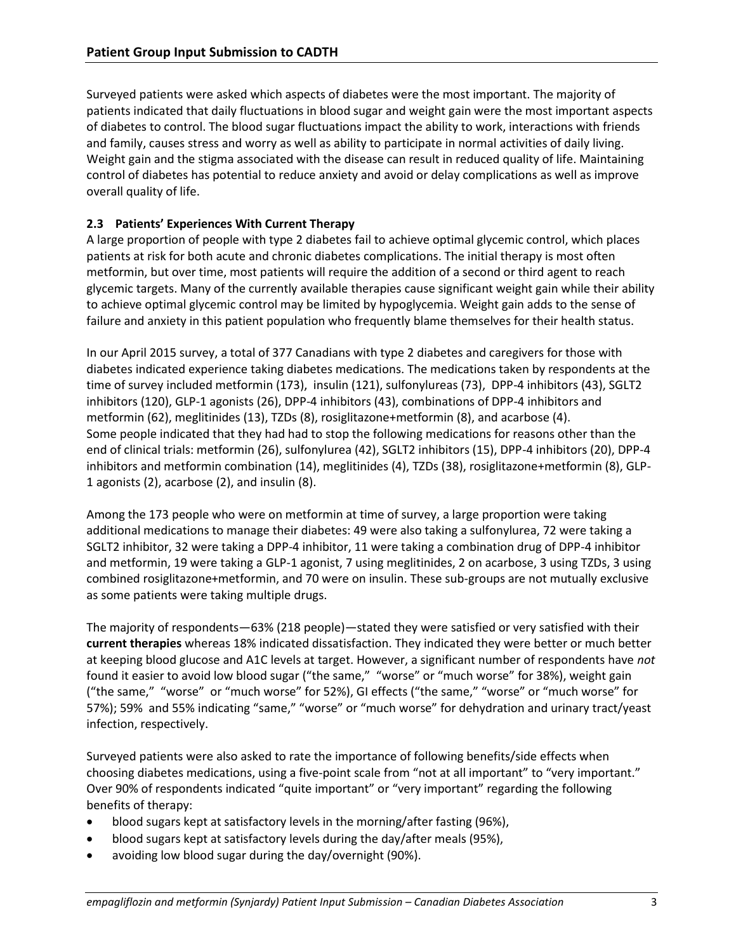Surveyed patients were asked which aspects of diabetes were the most important. The majority of patients indicated that daily fluctuations in blood sugar and weight gain were the most important aspects of diabetes to control. The blood sugar fluctuations impact the ability to work, interactions with friends and family, causes stress and worry as well as ability to participate in normal activities of daily living. Weight gain and the stigma associated with the disease can result in reduced quality of life. Maintaining control of diabetes has potential to reduce anxiety and avoid or delay complications as well as improve overall quality of life.

#### **2.3 Patients' Experiences With Current Therapy**

A large proportion of people with type 2 diabetes fail to achieve optimal glycemic control, which places patients at risk for both acute and chronic diabetes complications. The initial therapy is most often metformin, but over time, most patients will require the addition of a second or third agent to reach glycemic targets. Many of the currently available therapies cause significant weight gain while their ability to achieve optimal glycemic control may be limited by hypoglycemia. Weight gain adds to the sense of failure and anxiety in this patient population who frequently blame themselves for their health status.

In our April 2015 survey, a total of 377 Canadians with type 2 diabetes and caregivers for those with diabetes indicated experience taking diabetes medications. The medications taken by respondents at the time of survey included metformin (173), insulin (121), sulfonylureas (73), DPP-4 inhibitors (43), SGLT2 inhibitors (120), GLP-1 agonists (26), DPP-4 inhibitors (43), combinations of DPP-4 inhibitors and metformin (62), meglitinides (13), TZDs (8), rosiglitazone+metformin (8), and acarbose (4). Some people indicated that they had had to stop the following medications for reasons other than the end of clinical trials: metformin (26), sulfonylurea (42), SGLT2 inhibitors (15), DPP-4 inhibitors (20), DPP-4 inhibitors and metformin combination (14), meglitinides (4), TZDs (38), rosiglitazone+metformin (8), GLP-1 agonists (2), acarbose (2), and insulin (8).

Among the 173 people who were on metformin at time of survey, a large proportion were taking additional medications to manage their diabetes: 49 were also taking a sulfonylurea, 72 were taking a SGLT2 inhibitor, 32 were taking a DPP-4 inhibitor, 11 were taking a combination drug of DPP-4 inhibitor and metformin, 19 were taking a GLP-1 agonist, 7 using meglitinides, 2 on acarbose, 3 using TZDs, 3 using combined rosiglitazone+metformin, and 70 were on insulin. These sub-groups are not mutually exclusive as some patients were taking multiple drugs.

The majority of respondents—63% (218 people)—stated they were satisfied or very satisfied with their **current therapies** whereas 18% indicated dissatisfaction. They indicated they were better or much better at keeping blood glucose and A1C levels at target. However, a significant number of respondents have *not* found it easier to avoid low blood sugar ("the same," "worse" or "much worse" for 38%), weight gain ("the same," "worse" or "much worse" for 52%), GI effects ("the same," "worse" or "much worse" for 57%); 59% and 55% indicating "same," "worse" or "much worse" for dehydration and urinary tract/yeast infection, respectively.

Surveyed patients were also asked to rate the importance of following benefits/side effects when choosing diabetes medications, using a five-point scale from "not at all important" to "very important." Over 90% of respondents indicated "quite important" or "very important" regarding the following benefits of therapy:

- blood sugars kept at satisfactory levels in the morning/after fasting (96%),
- blood sugars kept at satisfactory levels during the day/after meals (95%),
- avoiding low blood sugar during the day/overnight (90%).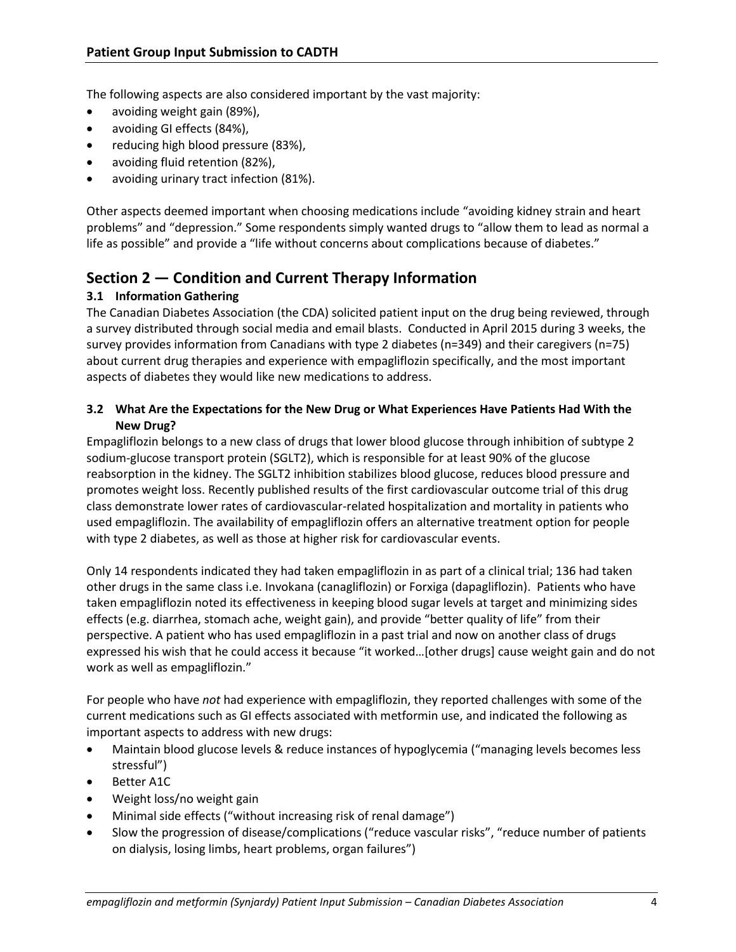The following aspects are also considered important by the vast majority:

- avoiding weight gain (89%),
- avoiding GI effects (84%),
- reducing high blood pressure (83%),
- avoiding fluid retention (82%),
- avoiding urinary tract infection (81%).

Other aspects deemed important when choosing medications include "avoiding kidney strain and heart problems" and "depression." Some respondents simply wanted drugs to "allow them to lead as normal a life as possible" and provide a "life without concerns about complications because of diabetes."

## **Section 2 — Condition and Current Therapy Information**

### **3.1 Information Gathering**

The Canadian Diabetes Association (the CDA) solicited patient input on the drug being reviewed, through a survey distributed through social media and email blasts. Conducted in April 2015 during 3 weeks, the survey provides information from Canadians with type 2 diabetes (n=349) and their caregivers (n=75) about current drug therapies and experience with empagliflozin specifically, and the most important aspects of diabetes they would like new medications to address.

#### **3.2 What Are the Expectations for the New Drug or What Experiences Have Patients Had With the New Drug?**

Empagliflozin belongs to a new class of drugs that lower blood glucose through inhibition of subtype 2 sodium-glucose transport protein (SGLT2), which is responsible for at least 90% of the glucose reabsorption in the kidney. The SGLT2 inhibition stabilizes blood glucose, reduces blood pressure and promotes weight loss. Recently published results of the first cardiovascular outcome trial of this drug class demonstrate lower rates of cardiovascular-related hospitalization and mortality in patients who used empagliflozin. The availability of empagliflozin offers an alternative treatment option for people with type 2 diabetes, as well as those at higher risk for cardiovascular events.

Only 14 respondents indicated they had taken empagliflozin in as part of a clinical trial; 136 had taken other drugs in the same class i.e. Invokana (canagliflozin) or Forxiga (dapagliflozin). Patients who have taken empagliflozin noted its effectiveness in keeping blood sugar levels at target and minimizing sides effects (e.g. diarrhea, stomach ache, weight gain), and provide "better quality of life" from their perspective. A patient who has used empagliflozin in a past trial and now on another class of drugs expressed his wish that he could access it because "it worked…[other drugs] cause weight gain and do not work as well as empagliflozin."

For people who have *not* had experience with empagliflozin, they reported challenges with some of the current medications such as GI effects associated with metformin use, and indicated the following as important aspects to address with new drugs:

- Maintain blood glucose levels & reduce instances of hypoglycemia ("managing levels becomes less stressful")
- Better A1C
- Weight loss/no weight gain
- Minimal side effects ("without increasing risk of renal damage")
- Slow the progression of disease/complications ("reduce vascular risks", "reduce number of patients on dialysis, losing limbs, heart problems, organ failures")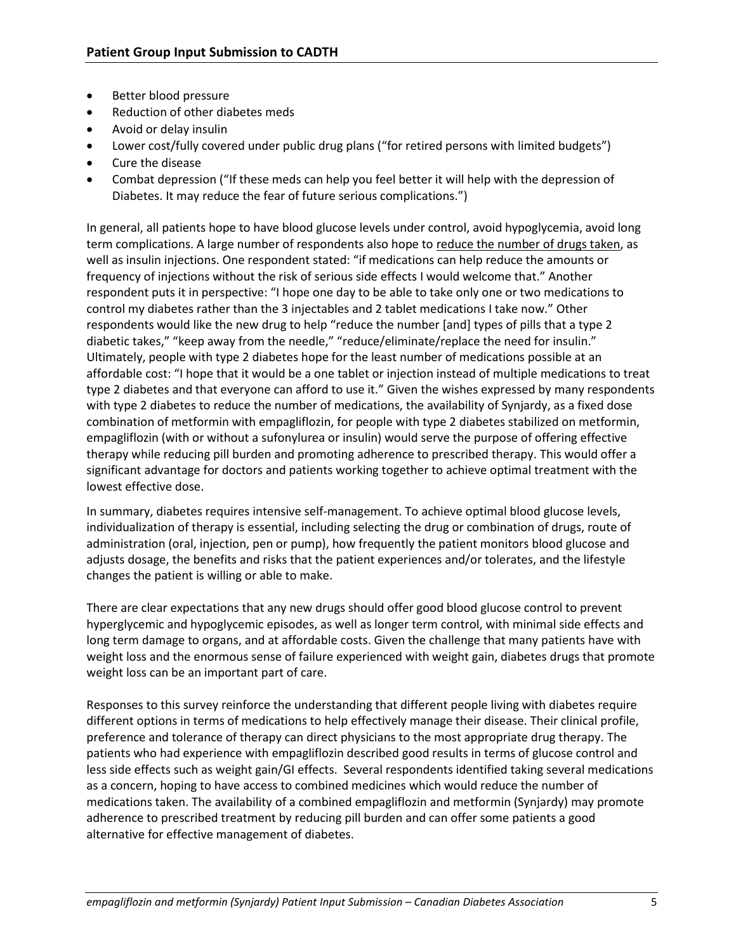- Better blood pressure
- Reduction of other diabetes meds
- Avoid or delay insulin
- Lower cost/fully covered under public drug plans ("for retired persons with limited budgets")
- Cure the disease
- Combat depression ("If these meds can help you feel better it will help with the depression of Diabetes. It may reduce the fear of future serious complications.")

In general, all patients hope to have blood glucose levels under control, avoid hypoglycemia, avoid long term complications. A large number of respondents also hope to reduce the number of drugs taken, as well as insulin injections. One respondent stated: "if medications can help reduce the amounts or frequency of injections without the risk of serious side effects I would welcome that." Another respondent puts it in perspective: "I hope one day to be able to take only one or two medications to control my diabetes rather than the 3 injectables and 2 tablet medications I take now." Other respondents would like the new drug to help "reduce the number [and] types of pills that a type 2 diabetic takes," "keep away from the needle," "reduce/eliminate/replace the need for insulin." Ultimately, people with type 2 diabetes hope for the least number of medications possible at an affordable cost: "I hope that it would be a one tablet or injection instead of multiple medications to treat type 2 diabetes and that everyone can afford to use it." Given the wishes expressed by many respondents with type 2 diabetes to reduce the number of medications, the availability of Synjardy, as a fixed dose combination of metformin with empagliflozin, for people with type 2 diabetes stabilized on metformin, empagliflozin (with or without a sufonylurea or insulin) would serve the purpose of offering effective therapy while reducing pill burden and promoting adherence to prescribed therapy. This would offer a significant advantage for doctors and patients working together to achieve optimal treatment with the lowest effective dose.

In summary, diabetes requires intensive self-management. To achieve optimal blood glucose levels, individualization of therapy is essential, including selecting the drug or combination of drugs, route of administration (oral, injection, pen or pump), how frequently the patient monitors blood glucose and adjusts dosage, the benefits and risks that the patient experiences and/or tolerates, and the lifestyle changes the patient is willing or able to make.

There are clear expectations that any new drugs should offer good blood glucose control to prevent hyperglycemic and hypoglycemic episodes, as well as longer term control, with minimal side effects and long term damage to organs, and at affordable costs. Given the challenge that many patients have with weight loss and the enormous sense of failure experienced with weight gain, diabetes drugs that promote weight loss can be an important part of care.

Responses to this survey reinforce the understanding that different people living with diabetes require different options in terms of medications to help effectively manage their disease. Their clinical profile, preference and tolerance of therapy can direct physicians to the most appropriate drug therapy. The patients who had experience with empagliflozin described good results in terms of glucose control and less side effects such as weight gain/GI effects. Several respondents identified taking several medications as a concern, hoping to have access to combined medicines which would reduce the number of medications taken. The availability of a combined empagliflozin and metformin (Synjardy) may promote adherence to prescribed treatment by reducing pill burden and can offer some patients a good alternative for effective management of diabetes.